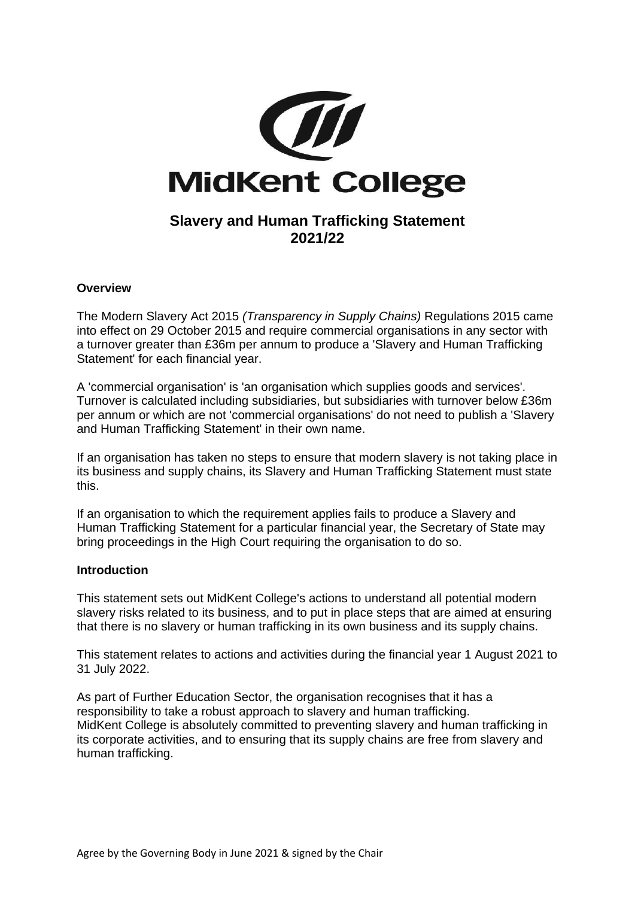

# **Slavery and Human Trafficking Statement 2021/22**

### **Overview**

The Modern Slavery Act 2015 *(Transparency in Supply Chains)* Regulations 2015 came into effect on 29 October 2015 and require commercial organisations in any sector with a turnover greater than £36m per annum to produce a 'Slavery and Human Trafficking Statement' for each financial year.

A 'commercial organisation' is 'an organisation which supplies goods and services'. Turnover is calculated including subsidiaries, but subsidiaries with turnover below £36m per annum or which are not 'commercial organisations' do not need to publish a 'Slavery and Human Trafficking Statement' in their own name.

If an organisation has taken no steps to ensure that modern slavery is not taking place in its business and supply chains, its Slavery and Human Trafficking Statement must state this.

If an organisation to which the requirement applies fails to produce a Slavery and Human Trafficking Statement for a particular financial year, the Secretary of State may bring proceedings in the High Court requiring the organisation to do so.

### **Introduction**

This statement sets out MidKent College's actions to understand all potential modern slavery risks related to its business, and to put in place steps that are aimed at ensuring that there is no slavery or human trafficking in its own business and its supply chains.

This statement relates to actions and activities during the financial year 1 August 2021 to 31 July 2022.

As part of Further Education Sector, the organisation recognises that it has a responsibility to take a robust approach to slavery and human trafficking. MidKent College is absolutely committed to preventing slavery and human trafficking in its corporate activities, and to ensuring that its supply chains are free from slavery and human trafficking.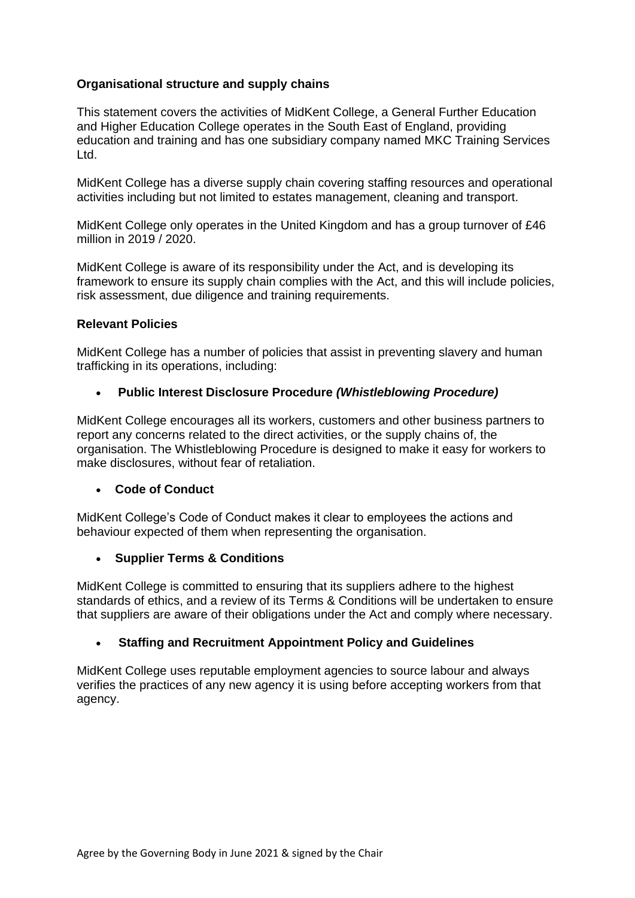## **Organisational structure and supply chains**

This statement covers the activities of MidKent College, a General Further Education and Higher Education College operates in the South East of England, providing education and training and has one subsidiary company named MKC Training Services Ltd.

MidKent College has a diverse supply chain covering staffing resources and operational activities including but not limited to estates management, cleaning and transport.

MidKent College only operates in the United Kingdom and has a group turnover of £46 million in 2019 / 2020.

MidKent College is aware of its responsibility under the Act, and is developing its framework to ensure its supply chain complies with the Act, and this will include policies, risk assessment, due diligence and training requirements.

#### **Relevant Policies**

MidKent College has a number of policies that assist in preventing slavery and human trafficking in its operations, including:

### • **Public Interest Disclosure Procedure** *(Whistleblowing Procedure)*

MidKent College encourages all its workers, customers and other business partners to report any concerns related to the direct activities, or the supply chains of, the organisation. The Whistleblowing Procedure is designed to make it easy for workers to make disclosures, without fear of retaliation.

### • **Code of Conduct**

MidKent College's Code of Conduct makes it clear to employees the actions and behaviour expected of them when representing the organisation.

### • **Supplier Terms & Conditions**

MidKent College is committed to ensuring that its suppliers adhere to the highest standards of ethics, and a review of its Terms & Conditions will be undertaken to ensure that suppliers are aware of their obligations under the Act and comply where necessary.

### • **Staffing and Recruitment Appointment Policy and Guidelines**

MidKent College uses reputable employment agencies to source labour and always verifies the practices of any new agency it is using before accepting workers from that agency.